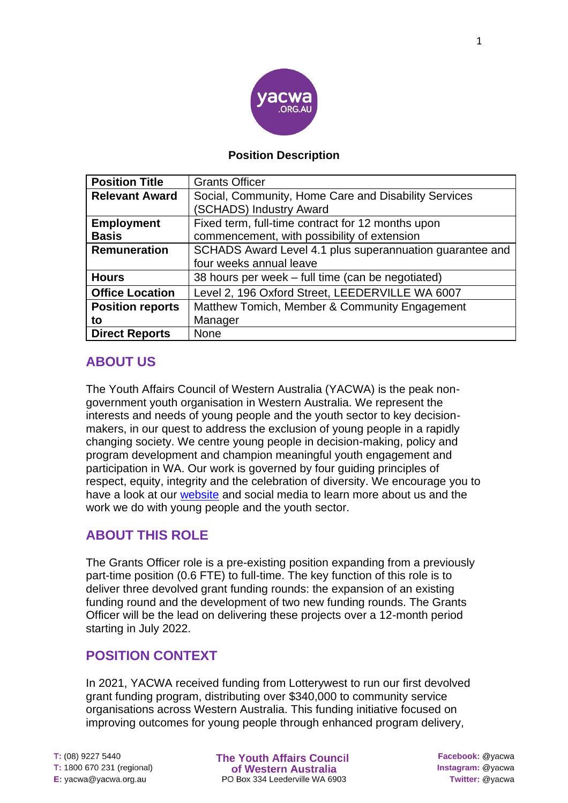

#### **Position Description**

| <b>Position Title</b>   | <b>Grants Officer</b>                                    |
|-------------------------|----------------------------------------------------------|
| <b>Relevant Award</b>   | Social, Community, Home Care and Disability Services     |
|                         | (SCHADS) Industry Award                                  |
| <b>Employment</b>       | Fixed term, full-time contract for 12 months upon        |
| <b>Basis</b>            | commencement, with possibility of extension              |
| Remuneration            | SCHADS Award Level 4.1 plus superannuation guarantee and |
|                         | four weeks annual leave                                  |
| <b>Hours</b>            | 38 hours per week – full time (can be negotiated)        |
| <b>Office Location</b>  | Level 2, 196 Oxford Street, LEEDERVILLE WA 6007          |
| <b>Position reports</b> | Matthew Tomich, Member & Community Engagement            |
| to                      | Manager                                                  |
| <b>Direct Reports</b>   | <b>None</b>                                              |

# **ABOUT US**

The Youth Affairs Council of Western Australia (YACWA) is the peak nongovernment youth organisation in Western Australia. We represent the interests and needs of young people and the youth sector to key decisionmakers, in our quest to address the exclusion of young people in a rapidly changing society. We centre young people in decision-making, policy and program development and champion meaningful youth engagement and participation in WA. Our work is governed by four guiding principles of respect, equity, integrity and the celebration of diversity. We encourage you to have a look at our [website](https://www.yacwa.org.au/) and social media to learn more about us and the work we do with young people and the youth sector.

# **ABOUT THIS ROLE**

The Grants Officer role is a pre-existing position expanding from a previously part-time position (0.6 FTE) to full-time. The key function of this role is to deliver three devolved grant funding rounds: the expansion of an existing funding round and the development of two new funding rounds. The Grants Officer will be the lead on delivering these projects over a 12-month period starting in July 2022.

# **POSITION CONTEXT**

In 2021, YACWA received funding from Lotterywest to run our first devolved grant funding program, distributing over \$340,000 to community service organisations across Western Australia. This funding initiative focused on improving outcomes for young people through enhanced program delivery,

**The Youth Affairs Council** of Western Australia PO Box 334 Leederville WA 6903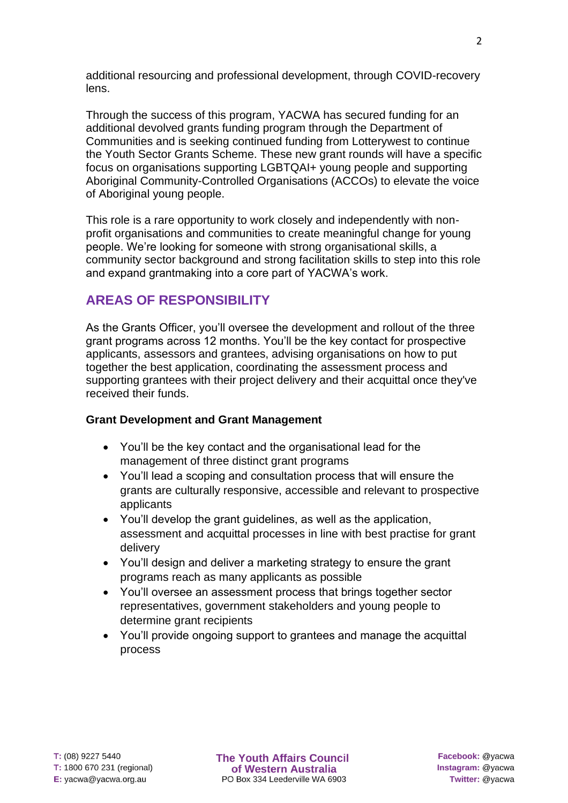additional resourcing and professional development, through COVID-recovery lens.

Through the success of this program, YACWA has secured funding for an additional devolved grants funding program through the Department of Communities and is seeking continued funding from Lotterywest to continue the Youth Sector Grants Scheme. These new grant rounds will have a specific focus on organisations supporting LGBTQAI+ young people and supporting Aboriginal Community-Controlled Organisations (ACCOs) to elevate the voice of Aboriginal young people.

This role is a rare opportunity to work closely and independently with nonprofit organisations and communities to create meaningful change for young people. We're looking for someone with strong organisational skills, a community sector background and strong facilitation skills to step into this role and expand grantmaking into a core part of YACWA's work.

# **AREAS OF RESPONSIBILITY**

As the Grants Officer, you'll oversee the development and rollout of the three grant programs across 12 months. You'll be the key contact for prospective applicants, assessors and grantees, advising organisations on how to put together the best application, coordinating the assessment process and supporting grantees with their project delivery and their acquittal once they've received their funds.

### **Grant Development and Grant Management**

- You'll be the key contact and the organisational lead for the management of three distinct grant programs
- You'll lead a scoping and consultation process that will ensure the grants are culturally responsive, accessible and relevant to prospective applicants
- You'll develop the grant guidelines, as well as the application, assessment and acquittal processes in line with best practise for grant delivery
- You'll design and deliver a marketing strategy to ensure the grant programs reach as many applicants as possible
- You'll oversee an assessment process that brings together sector representatives, government stakeholders and young people to determine grant recipients
- You'll provide ongoing support to grantees and manage the acquittal process

**The Youth Affairs Council** of Western Australia PO Box 334 Leederville WA 6903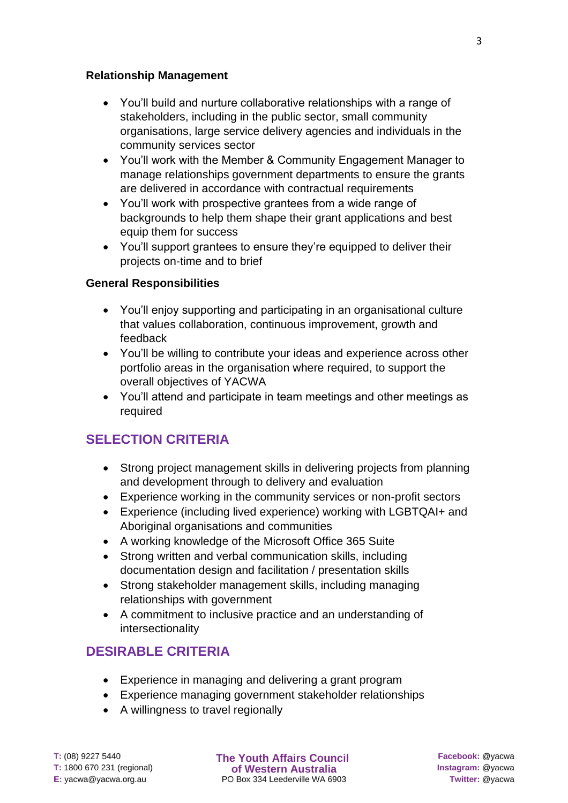#### **Relationship Management**

- You'll build and nurture collaborative relationships with a range of stakeholders, including in the public sector, small community organisations, large service delivery agencies and individuals in the community services sector
- You'll work with the Member & Community Engagement Manager to manage relationships government departments to ensure the grants are delivered in accordance with contractual requirements
- You'll work with prospective grantees from a wide range of backgrounds to help them shape their grant applications and best equip them for success
- You'll support grantees to ensure they're equipped to deliver their projects on-time and to brief

### **General Responsibilities**

- You'll enjoy supporting and participating in an organisational culture that values collaboration, continuous improvement, growth and feedback
- You'll be willing to contribute your ideas and experience across other portfolio areas in the organisation where required, to support the overall objectives of YACWA
- You'll attend and participate in team meetings and other meetings as required

# **SELECTION CRITERIA**

- Strong project management skills in delivering projects from planning and development through to delivery and evaluation
- Experience working in the community services or non-profit sectors
- Experience (including lived experience) working with LGBTQAI+ and Aboriginal organisations and communities
- A working knowledge of the Microsoft Office 365 Suite
- Strong written and verbal communication skills, including documentation design and facilitation / presentation skills
- Strong stakeholder management skills, including managing relationships with government
- A commitment to inclusive practice and an understanding of intersectionality

# **DESIRABLE CRITERIA**

- Experience in managing and delivering a grant program
- Experience managing government stakeholder relationships
- A willingness to travel regionally

T: (08) 9227 5440 T: 1800 670 231 (regional)  $E:$  yacwa@yacwa.org.au

**The Youth Affairs Council** of Western Australia PO Box 334 Leederville WA 6903

Facebook: @yacwa Instagram: @yacwa Twitter: @yacwa